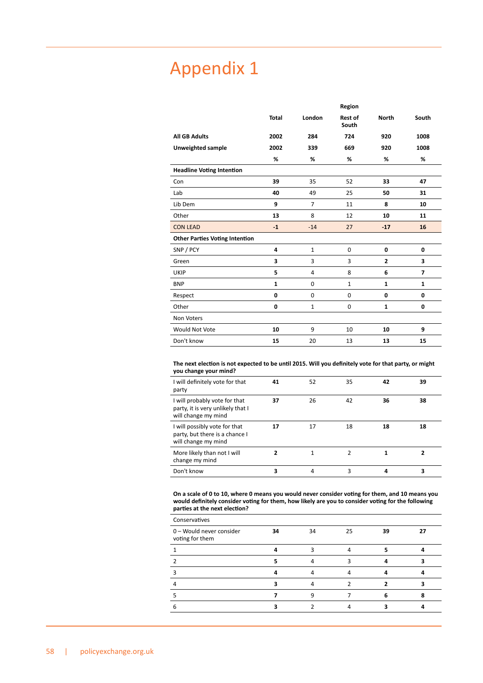# Appendix 1

|                                       |              |                | Region                  |                |                |
|---------------------------------------|--------------|----------------|-------------------------|----------------|----------------|
|                                       | <b>Total</b> | London         | <b>Rest of</b><br>South | <b>North</b>   | South          |
| <b>All GB Adults</b>                  | 2002         | 284            | 724                     | 920            | 1008           |
| Unweighted sample                     | 2002         | 339            | 669                     | 920            | 1008           |
|                                       | %            | %              | %                       | %              | %              |
| <b>Headline Voting Intention</b>      |              |                |                         |                |                |
| Con                                   | 39           | 35             | 52                      | 33             | 47             |
| Lab                                   | 40           | 49             | 25                      | 50             | 31             |
| Lib Dem                               | 9            | $\overline{7}$ | 11                      | 8              | 10             |
| Other                                 | 13           | 8              | 12                      | 10             | 11             |
| <b>CON LEAD</b>                       | $-1$         | $-14$          | 27                      | $-17$          | 16             |
| <b>Other Parties Voting Intention</b> |              |                |                         |                |                |
| SNP / PCY                             | 4            | $\mathbf{1}$   | 0                       | 0              | 0              |
| Green                                 | 3            | 3              | 3                       | $\overline{2}$ | 3              |
| UKIP                                  | 5            | 4              | 8                       | 6              | $\overline{7}$ |
| <b>BNP</b>                            | $\mathbf{1}$ | $\mathbf 0$    | $\mathbf{1}$            | $\mathbf{1}$   | $\mathbf{1}$   |
| Respect                               | 0            | $\Omega$       | $\mathbf 0$             | 0              | 0              |
| Other                                 | 0            | $\mathbf{1}$   | $\mathbf 0$             | $\mathbf{1}$   | 0              |
| Non Voters                            |              |                |                         |                |                |
| Would Not Vote                        | 10           | 9              | 10                      | 10             | 9              |
| Don't know                            | 15           | 20             | 13                      | 13             | 15             |

**The next election is not expected to be until 2015. Will you definitely vote for that party, or might you change your mind?**

| I will definitely vote for that<br>party                                                  | 41 | 52 | 35 | 42 | 39 |
|-------------------------------------------------------------------------------------------|----|----|----|----|----|
| I will probably vote for that<br>party, it is very unlikely that I<br>will change my mind | 37 | 26 | 42 | 36 | 38 |
| I will possibly vote for that<br>party, but there is a chance I<br>will change my mind    | 17 | 17 | 18 | 18 | 18 |
| More likely than not I will<br>change my mind                                             |    |    |    |    |    |
| Don't know                                                                                | 3  | 4  | 3  |    | 3  |

**On a scale of 0 to 10, where 0 means you would never consider voting for them, and 10 means you would definitely consider voting for them, how likely are you to consider voting for the following parties at the next election?**

| Conservatives                               |    |    |    |    |  |
|---------------------------------------------|----|----|----|----|--|
| 0 - Would never consider<br>voting for them | 34 | 34 | 25 | 39 |  |
|                                             |    |    |    |    |  |
|                                             |    |    |    |    |  |
|                                             |    |    |    |    |  |
|                                             |    |    |    |    |  |
|                                             |    |    |    |    |  |
|                                             |    |    |    |    |  |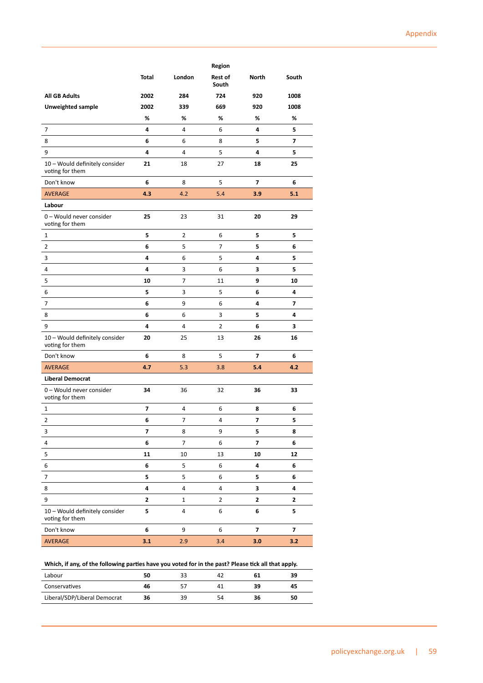|                                                   |              |                  | Region           |                         |                         |
|---------------------------------------------------|--------------|------------------|------------------|-------------------------|-------------------------|
|                                                   | <b>Total</b> | London           | Rest of<br>South | <b>North</b>            | South                   |
| <b>All GB Adults</b>                              | 2002         | 284              | 724              | 920                     | 1008                    |
| <b>Unweighted sample</b>                          | 2002         | 339              | 669              | 920                     | 1008                    |
|                                                   | %            | %                | %                | %                       | %                       |
| 7                                                 | 4            | 4                | 6                | 4                       | 5                       |
| 8                                                 | 6            | 6                | 8                | 5                       | $\overline{\mathbf{z}}$ |
| 9                                                 | 4            | 4                | 5                | 4                       | 5                       |
| 10 - Would definitely consider<br>voting for them | 21           | 18               | 27               | 18                      | 25                      |
| Don't know                                        | 6            | 8                | 5                | $\overline{ }$          | 6                       |
| <b>AVERAGE</b>                                    | 4.3          | 4.2              | 5.4              | 3.9                     | 5.1                     |
| Labour                                            |              |                  |                  |                         |                         |
| 0 - Would never consider<br>voting for them       | 25           | 23               | 31               | 20                      | 29                      |
| 1                                                 | 5            | $\overline{2}$   | 6                | 5                       | 5                       |
| 2                                                 | 6            | 5                | $\overline{7}$   | 5                       | 6                       |
| 3                                                 | 4            | 6                | 5                | 4                       | 5                       |
| 4                                                 | 4            | 3                | 6                | 3                       | 5                       |
| 5                                                 | 10           | 7                | 11               | 9                       | 10                      |
| 6                                                 | 5            | 3                | 5                | 6                       | 4                       |
| $\overline{7}$                                    | 6            | 9                | 6                | 4                       | 7                       |
| 8                                                 | 6            | 6                | 3                | 5                       | 4                       |
| 9                                                 | 4            | 4                | $\overline{2}$   | 6                       | 3                       |
| 10 - Would definitely consider<br>voting for them | 20           | 25               | 13               | 26                      | 16                      |
| Don't know                                        | 6            | 8                | 5                | 7                       | 6                       |
| <b>AVERAGE</b>                                    | 4.7          | 5.3              | 3.8              | 5.4                     | 4.2                     |
| <b>Liberal Democrat</b>                           |              |                  |                  |                         |                         |
| 0 - Would never consider<br>voting for them       | 34           | 36               | 32               | 36                      | 33                      |
| 1                                                 | 7            | 4                | 6                | 8                       | 6                       |
| $\overline{2}$                                    | 6            | 7                | 4                | 7                       | 5                       |
| 3                                                 | 7            | 8                | 9                | 5                       | 8                       |
| 4                                                 | 6            | 7                | 6                | 7                       | 6                       |
| 5                                                 | 11           | 10               | 13               | 10                      | 12                      |
| 6                                                 | 6            | 5                | 6                | 4                       | 6                       |
| 7                                                 | 5            | 5                | 6                | 5                       | 6                       |
| 8                                                 | 4            | $\overline{4}$   | 4                | 3                       | 4                       |
| 9                                                 | $\mathbf{2}$ | $\mathbf{1}$     | $\overline{2}$   | $\overline{\mathbf{2}}$ | $\mathbf{2}$            |
| 10 - Would definitely consider<br>voting for them | 5            | $\pmb{4}$        | 6                | 6                       | 5                       |
| Don't know                                        | 6            | $\boldsymbol{9}$ | 6                | $\overline{\mathbf{z}}$ | $\overline{\mathbf{z}}$ |
| AVERAGE                                           | 3.1          | 2.9              | 3.4              | 3.0                     | 3.2                     |

**Which, if any, of the following parties have you voted for in the past? Please tick all that apply.**

| 50 |    | 42 | bі | 39 |
|----|----|----|----|----|
| 46 |    |    | 39 | 45 |
| 36 | 39 | 54 | 36 | 50 |
|    |    |    |    |    |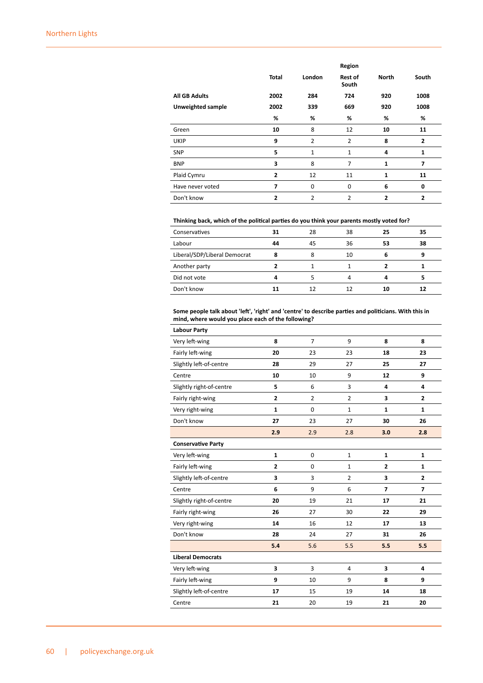|                          |                |                | Region                  |                |                |
|--------------------------|----------------|----------------|-------------------------|----------------|----------------|
|                          | <b>Total</b>   | London         | <b>Rest of</b><br>South | <b>North</b>   | South          |
| <b>All GB Adults</b>     | 2002           | 284            | 724                     | 920            | 1008           |
| <b>Unweighted sample</b> | 2002           | 339            | 669                     | 920            | 1008           |
|                          | %              | %              | %                       | %              | %              |
| Green                    | 10             | 8              | 12                      | 10             | 11             |
| <b>UKIP</b>              | 9              | $\overline{2}$ | 2                       | 8              | $\overline{2}$ |
| <b>SNP</b>               | 5              | $\mathbf{1}$   | $\mathbf{1}$            | 4              | 1              |
| <b>BNP</b>               | 3              | 8              | 7                       | 1              | 7              |
| Plaid Cymru              | $\mathbf{2}$   | 12             | 11                      | $\mathbf{1}$   | 11             |
| Have never voted         | 7              | 0              | $\mathbf 0$             | 6              | 0              |
| Don't know               | $\overline{2}$ | $\overline{2}$ | $\overline{2}$          | $\overline{2}$ | $\overline{2}$ |

### **Thinking back, which of the political parties do you think your parents mostly voted for?**

| Conservatives                | 31 | 28 | 38 | 25 | 35 |
|------------------------------|----|----|----|----|----|
| Labour                       | 44 | 45 | 36 | 53 | 38 |
| Liberal/SDP/Liberal Democrat | 8  |    | 10 |    | 9  |
| Another party                |    |    |    |    |    |
| Did not vote                 | 4  |    |    |    |    |
| Don't know                   |    |    |    | 10 | 12 |

#### **Some people talk about 'left', 'right' and 'centre' to describe parties and politicians. With this in mind, where would you place each of the following?**

| <b>Labour Party</b>       |                |                |                |                |                |
|---------------------------|----------------|----------------|----------------|----------------|----------------|
| Very left-wing            | 8              | $\overline{7}$ | 9              | 8              | 8              |
| Fairly left-wing          | 20             | 23             | 23             | 18             | 23             |
| Slightly left-of-centre   | 28             | 29             | 27             | 25             | 27             |
| Centre                    | 10             | 10             | 9              | 12             | 9              |
| Slightly right-of-centre  | 5              | 6              | 3              | 4              | 4              |
| Fairly right-wing         | $\overline{2}$ | $\overline{2}$ | $\overline{2}$ | 3              | $\overline{2}$ |
| Very right-wing           | $\mathbf{1}$   | $\Omega$       | $\mathbf{1}$   | $\mathbf{1}$   | $\mathbf{1}$   |
| Don't know                | 27             | 23             | 27             | 30             | 26             |
|                           | 2.9            | 2.9            | 2.8            | 3.0            | 2.8            |
| <b>Conservative Party</b> |                |                |                |                |                |
| Very left-wing            | $\mathbf{1}$   | $\mathbf 0$    | $\mathbf{1}$   | $\mathbf{1}$   | $\mathbf{1}$   |
| Fairly left-wing          | $\overline{2}$ | $\Omega$       | $\mathbf{1}$   | $\overline{2}$ | 1              |
| Slightly left-of-centre   | 3              | 3              | $\overline{2}$ | 3              | $\overline{2}$ |
| Centre                    | 6              | 9              | 6              | $\overline{7}$ | 7              |
| Slightly right-of-centre  | 20             | 19             | 21             | 17             | 21             |
| Fairly right-wing         | 26             | 27             | 30             | 22             | 29             |
| Very right-wing           | 14             | 16             | 12             | 17             | 13             |
| Don't know                | 28             | 24             | 27             | 31             | 26             |
|                           | 5.4            | 5.6            | 5.5            | 5.5            | 5.5            |
| <b>Liberal Democrats</b>  |                |                |                |                |                |
| Very left-wing            | 3              | 3              | 4              | 3              | 4              |
| Fairly left-wing          | 9              | 10             | 9              | 8              | 9              |
| Slightly left-of-centre   | 17             | 15             | 19             | 14             | 18             |
| Centre                    | 21             | 20             | 19             | 21             | 20             |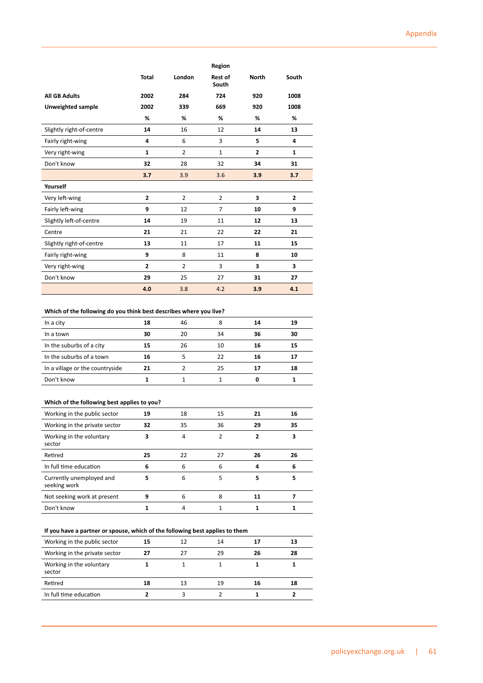|                          |                |                | Region                  |                |                |
|--------------------------|----------------|----------------|-------------------------|----------------|----------------|
|                          | <b>Total</b>   | London         | <b>Rest of</b><br>South | <b>North</b>   | South          |
| <b>All GB Adults</b>     | 2002           | 284            | 724                     | 920            | 1008           |
| Unweighted sample        | 2002           | 339            | 669                     | 920            | 1008           |
|                          | %              | %              | %                       | %              | %              |
| Slightly right-of-centre | 14             | 16             | 12                      | 14             | 13             |
| Fairly right-wing        | 4              | 6              | 3                       | 5              | 4              |
| Very right-wing          | $\mathbf{1}$   | $\overline{2}$ | $\mathbf{1}$            | $\overline{2}$ | $\mathbf{1}$   |
| Don't know               | 32             | 28             | 32                      | 34             | 31             |
|                          | 3.7            | 3.9            | 3.6                     | 3.9            | 3.7            |
| Yourself                 |                |                |                         |                |                |
| Very left-wing           | $\overline{2}$ | $\overline{2}$ | $\overline{2}$          | 3              | $\overline{2}$ |
| Fairly left-wing         | 9              | 12             | $\overline{7}$          | 10             | 9              |
| Slightly left-of-centre  | 14             | 19             | 11                      | 12             | 13             |
| Centre                   | 21             | 21             | 22                      | 22             | 21             |
| Slightly right-of-centre | 13             | 11             | 17                      | 11             | 15             |
| Fairly right-wing        | 9              | 8              | 11                      | 8              | 10             |
| Very right-wing          | $\overline{2}$ | $\overline{2}$ | 3                       | 3              | 3              |
| Don't know               | 29             | 25             | 27                      | 31             | 27             |
|                          | 4.0            | 3.8            | 4.2                     | 3.9            | 4.1            |

### **Which of the following do you think best describes where you live?**

| In a city                       | 18 | 46 | 8  | 14 | 19 |
|---------------------------------|----|----|----|----|----|
| In a town                       | 30 | 20 | 34 | 36 | 30 |
| In the suburbs of a city        | 15 | 26 | 10 | 16 | 15 |
| In the suburbs of a town        | 16 |    | 22 | 16 | 17 |
| In a village or the countryside | 21 |    | 25 |    | 18 |
| Don't know                      |    |    |    |    |    |

## **Which of the following best applies to you?**

| Working in the public sector             | 19 | 18 | 15 | 21 | 16 |
|------------------------------------------|----|----|----|----|----|
| Working in the private sector            | 32 | 35 | 36 | 29 | 35 |
| Working in the voluntary<br>sector       | 3  | 4  | 2  | ,  | 3  |
| Retired                                  | 25 | 22 | 27 | 26 | 26 |
| In full time education                   | 6  | 6  | 6  | 4  | 6  |
| Currently unemployed and<br>seeking work | 5  | 6  | 5  | 5  | 5  |
| Not seeking work at present              | 9  | 6  | 8  | 11 |    |
| Don't know                               |    | 4  |    |    |    |

## **If you have a partner or spouse, which of the following best applies to them**

| Working in the public sector       | 15 | 12 | 14 |    | 13 |
|------------------------------------|----|----|----|----|----|
| Working in the private sector      | 27 | 27 | 29 | 26 | 28 |
| Working in the voluntary<br>sector |    |    |    |    |    |
| Retired                            | 18 | 13 | 19 | 16 | 18 |
| In full time education             |    |    |    |    |    |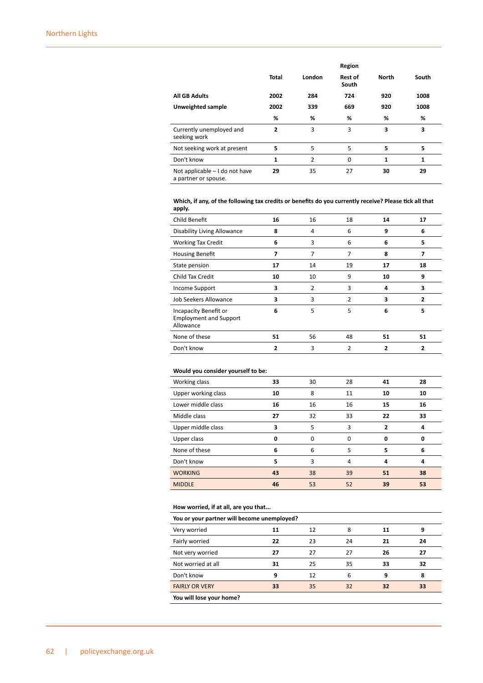|                                                        |              |                | Region                  |              |       |
|--------------------------------------------------------|--------------|----------------|-------------------------|--------------|-------|
|                                                        | <b>Total</b> | London         | <b>Rest of</b><br>South | <b>North</b> | South |
| <b>All GB Adults</b>                                   | 2002         | 284            | 724                     | 920          | 1008  |
| Unweighted sample                                      | 2002         | 339            | 669                     | 920          | 1008  |
|                                                        | %            | %              | %                       | %            | %     |
| Currently unemployed and<br>seeking work               | 2            | 3              | 3                       | 3            | 3     |
| Not seeking work at present                            | 5            | 5              | 5                       | 5            | 5     |
| Don't know                                             | 1            | $\overline{2}$ | $\Omega$                | 1            | 1     |
| Not applicable - I do not have<br>a partner or spouse. | 29           | 35             | 27                      | 30           | 29    |

### **Which, if any, of the following tax credits or benefits do you currently receive? Please tick all that apply.**

| Child Benefit                                                       | 16 | 16 | 18             | 14 | 17 |
|---------------------------------------------------------------------|----|----|----------------|----|----|
| <b>Disability Living Allowance</b>                                  | 8  | 4  | 6              | 9  | 6  |
| <b>Working Tax Credit</b>                                           | 6  | 3  | 6              | 6  | 5  |
| <b>Housing Benefit</b>                                              | 7  | 7  | 7              | 8  | 7  |
| State pension                                                       | 17 | 14 | 19             | 17 | 18 |
| Child Tax Credit                                                    | 10 | 10 | 9              | 10 | 9  |
| <b>Income Support</b>                                               | 3  | 2  | 3              | 4  | 3  |
| Job Seekers Allowance                                               | 3  | 3  | $\overline{2}$ | 3  | 2  |
| Incapacity Benefit or<br><b>Employment and Support</b><br>Allowance | 6  | 5  | 5              | 6  | 5  |
| None of these                                                       | 51 | 56 | 48             | 51 | 51 |
| Don't know                                                          |    | 3  | 2              |    |    |

### **Would you consider yourself to be:**

| Working class       | 33 | 30       | 28       | 41 | 28 |
|---------------------|----|----------|----------|----|----|
| Upper working class | 10 | 8        | 11       | 10 | 10 |
| Lower middle class  | 16 | 16       | 16       | 15 | 16 |
| Middle class        | 27 | 32       | 33       | 22 | 33 |
| Upper middle class  | 3  | 5        | 3        | 2  | 4  |
| Upper class         | O  | $\Omega$ | $\Omega$ | 0  | 0  |
| None of these       | 6  | 6        | 5        | 5  | 6  |
| Don't know          | 5  | 3        | 4        | 4  | 4  |
| <b>WORKING</b>      | 43 | 38       | 39       | 51 | 38 |
| <b>MIDDLE</b>       | 46 | 53       | 52       | 39 | 53 |

### **How worried, if at all, are you that...**

| now women, if at an, are you that           |    |    |    |    |    |  |  |
|---------------------------------------------|----|----|----|----|----|--|--|
| You or your partner will become unemployed? |    |    |    |    |    |  |  |
| Very worried                                | 11 | 12 | 8  | 11 | 9  |  |  |
| Fairly worried                              | 22 | 23 | 24 | 21 | 24 |  |  |
| Not very worried                            | 27 | 27 | 27 | 26 | 27 |  |  |
| Not worried at all                          | 31 | 25 | 35 | 33 | 32 |  |  |
| Don't know                                  | g  | 12 | 6  | 9  | 8  |  |  |
| <b>FAIRLY OR VERY</b>                       | 33 | 35 | 32 | 32 | 33 |  |  |
|                                             |    |    |    |    |    |  |  |

**You will lose your home?**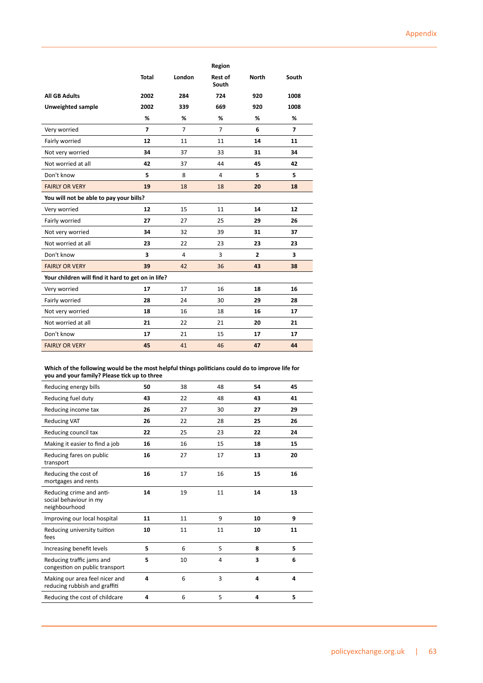|                                                    |                |                | Region                  |                |                |
|----------------------------------------------------|----------------|----------------|-------------------------|----------------|----------------|
|                                                    | <b>Total</b>   | London         | <b>Rest of</b><br>South | <b>North</b>   | South          |
| <b>All GB Adults</b>                               | 2002           | 284            | 724                     | 920            | 1008           |
| Unweighted sample                                  | 2002           | 339            | 669                     | 920            | 1008           |
|                                                    | %              | %              | %                       | %              | %              |
| Very worried                                       | $\overline{7}$ | $\overline{7}$ | $\overline{7}$          | 6              | $\overline{7}$ |
| Fairly worried                                     | 12             | 11             | 11                      | 14             | 11             |
| Not very worried                                   | 34             | 37             | 33                      | 31             | 34             |
| Not worried at all                                 | 42             | 37             | 44                      | 45             | 42             |
| Don't know                                         | 5              | 8              | $\overline{a}$          | 5              | 5              |
| <b>FAIRLY OR VERY</b>                              | 19             | 18             | 18                      | 20             | 18             |
| You will not be able to pay your bills?            |                |                |                         |                |                |
| Very worried                                       | 12             | 15             | 11                      | 14             | 12             |
| Fairly worried                                     | 27             | 27             | 25                      | 29             | 26             |
| Not very worried                                   | 34             | 32             | 39                      | 31             | 37             |
| Not worried at all                                 | 23             | 22             | 23                      | 23             | 23             |
| Don't know                                         | 3              | 4              | 3                       | $\overline{2}$ | 3              |
| <b>FAIRLY OR VERY</b>                              | 39             | 42             | 36                      | 43             | 38             |
| Your children will find it hard to get on in life? |                |                |                         |                |                |
| Very worried                                       | 17             | 17             | 16                      | 18             | 16             |
| Fairly worried                                     | 28             | 24             | 30                      | 29             | 28             |
| Not very worried                                   | 18             | 16             | 18                      | 16             | 17             |
| Not worried at all                                 | 21             | 22             | 21                      | 20             | 21             |
| Don't know                                         | 17             | 21             | 15                      | 17             | 17             |
| <b>FAIRLY OR VERY</b>                              | 45             | 41             | 46                      | 47             | 44             |

**Which of the following would be the most helpful things politicians could do to improve life for you and your family? Please tick up to three**

| Reducing energy bills                                               | 50 | 38 | 48 | 54 | 45 |
|---------------------------------------------------------------------|----|----|----|----|----|
| Reducing fuel duty                                                  | 43 | 22 | 48 | 43 | 41 |
| Reducing income tax                                                 | 26 | 27 | 30 | 27 | 29 |
| <b>Reducing VAT</b>                                                 | 26 | 22 | 28 | 25 | 26 |
| Reducing council tax                                                | 22 | 25 | 23 | 22 | 24 |
| Making it easier to find a job                                      | 16 | 16 | 15 | 18 | 15 |
| Reducing fares on public<br>transport                               | 16 | 27 | 17 | 13 | 20 |
| Reducing the cost of<br>mortgages and rents                         | 16 | 17 | 16 | 15 | 16 |
| Reducing crime and anti-<br>social behaviour in my<br>neighbourhood | 14 | 19 | 11 | 14 | 13 |
| Improving our local hospital                                        | 11 | 11 | 9  | 10 | 9  |
| Reducing university tuition<br>fees                                 | 10 | 11 | 11 | 10 | 11 |
| Increasing benefit levels                                           | 5  | 6  | 5  | 8  | 5  |
| Reducing traffic jams and<br>congestion on public transport         | 5  | 10 | 4  | 3  | 6  |
| Making our area feel nicer and<br>reducing rubbish and graffiti     | 4  | 6  | 3  | 4  | 4  |
| Reducing the cost of childcare                                      | 4  | 6  | 5  | 4  | 5  |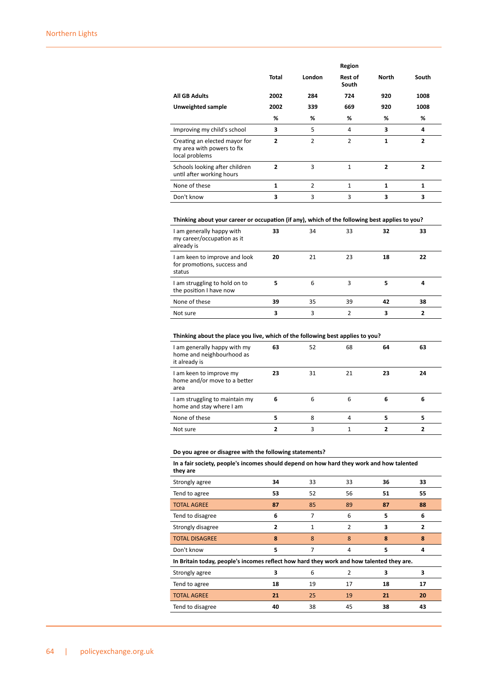|                                                                               |                |        | Region           |                |                |
|-------------------------------------------------------------------------------|----------------|--------|------------------|----------------|----------------|
|                                                                               | Total          | London | Rest of<br>South | North          | South          |
| <b>All GB Adults</b>                                                          | 2002           | 284    | 724              | 920            | 1008           |
| Unweighted sample                                                             | 2002           | 339    | 669              | 920            | 1008           |
|                                                                               | %              | %      | %                | %              | %              |
| Improving my child's school                                                   | 3              | 5      | 4                | 3              | 4              |
| Creating an elected mayor for<br>my area with powers to fix<br>local problems | $\overline{2}$ | 2      | 2                | 1              | 2              |
| Schools looking after children<br>until after working hours                   | $\overline{2}$ | 3      | $\mathbf{1}$     | $\overline{2}$ | $\overline{2}$ |
| None of these                                                                 | 1              | 2      | $\mathbf{1}$     | 1              | 1              |
| Don't know                                                                    | 3              | 3      | 3                | 3              | 3              |

## **Thinking about your career or occupation (if any), which of the following best applies to you?**

| I am generally happy with<br>my career/occupation as it<br>already is  | 33 | 34 | 33 | 32 | 33 |
|------------------------------------------------------------------------|----|----|----|----|----|
| I am keen to improve and look<br>for promotions, success and<br>status | 20 | 21 | 23 | 18 | 22 |
| I am struggling to hold on to<br>the position I have now               |    | 6  | 3  |    |    |
| None of these                                                          | 39 | 35 | 39 | 42 | 38 |
| Not sure                                                               | 3  | 3  | 2  | 3  | 2  |

### **Thinking about the place you live, which of the following best applies to you?**

| I am generally happy with my<br>home and neighbourhood as<br>it already is | 63 | 52 | 68 | 64 | 63 |
|----------------------------------------------------------------------------|----|----|----|----|----|
| I am keen to improve my<br>home and/or move to a better<br>area            | 23 | 31 | 21 | 23 | 24 |
| I am struggling to maintain my<br>home and stay where I am                 | 6  | 6  | 6  | 6  | 6  |
| None of these                                                              |    | 8  | 4  | 5  | 5  |
| Not sure                                                                   |    |    |    |    |    |

### **Do you agree or disagree with the following statements?**

**In a fair society, people's incomes should depend on how hard they work and how talented they are**

| Strongly agree                                                                           | 34 | 33 | 33             | 36 | 33             |
|------------------------------------------------------------------------------------------|----|----|----------------|----|----------------|
| Tend to agree                                                                            | 53 | 52 | 56             | 51 | 55             |
| <b>TOTAL AGREE</b>                                                                       | 87 | 85 | 89             | 87 | 88             |
| Tend to disagree                                                                         | 6  | 7  | 6              | 5  | 6              |
| Strongly disagree                                                                        | 2  | 1  | $\overline{2}$ | 3  | $\overline{2}$ |
| <b>TOTAL DISAGREE</b>                                                                    | 8  | 8  | 8              | 8  | 8              |
| Don't know                                                                               | 5  | 7  | 4              | 5  | 4              |
| In Britain today, people's incomes reflect how hard they work and how talented they are. |    |    |                |    |                |
| Strongly agree                                                                           | 3  | 6  | $\mathcal{P}$  | 3  | 3              |
| Tend to agree                                                                            | 18 | 19 | 17             | 18 | 17             |
| <b>TOTAL AGREE</b>                                                                       | 21 | 25 | 19             | 21 | 20             |
| Tend to disagree                                                                         | 40 | 38 | 45             | 38 | 43             |
|                                                                                          |    |    |                |    |                |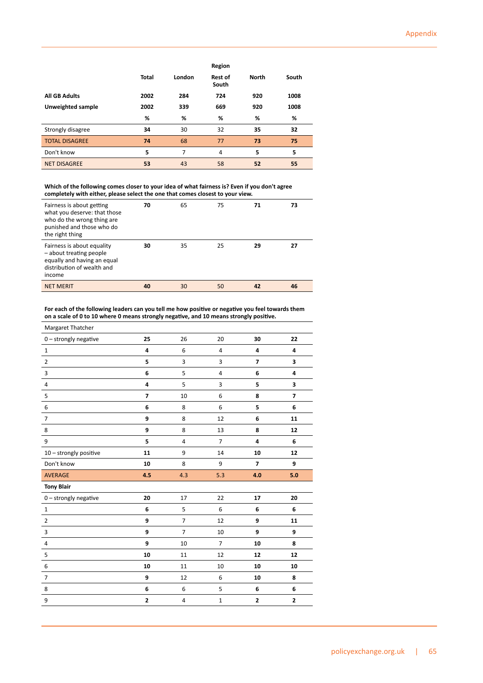|                       |              |        | Region                  |              |       |
|-----------------------|--------------|--------|-------------------------|--------------|-------|
|                       | <b>Total</b> | London | <b>Rest of</b><br>South | <b>North</b> | South |
| <b>All GB Adults</b>  | 2002         | 284    | 724                     | 920          | 1008  |
| Unweighted sample     | 2002         | 339    | 669                     | 920          | 1008  |
|                       | %            | %      | %                       | %            | %     |
| Strongly disagree     | 34           | 30     | 32                      | 35           | 32    |
| <b>TOTAL DISAGREE</b> | 74           | 68     | 77                      | 73           | 75    |
| Don't know            | 5            | 7      | 4                       | 5            | 5     |
| <b>NET DISAGREE</b>   | 53           | 43     | 58                      | 52           | 55    |

**Which of the following comes closer to your idea of what fairness is? Even if you don't agree completely with either, please select the one that comes closest to your view.**

| Fairness is about getting<br>what you deserve: that those<br>who do the wrong thing are<br>punished and those who do<br>the right thing | 70 | 65 | 75 | 71 | 73 |
|-----------------------------------------------------------------------------------------------------------------------------------------|----|----|----|----|----|
| Fairness is about equality<br>- about treating people<br>equally and having an equal<br>distribution of wealth and<br>income            | 30 | 35 | 25 | 29 | 27 |
| <b>NET MERIT</b>                                                                                                                        | 40 | 30 | 50 | 42 | 46 |
|                                                                                                                                         |    |    |    |    |    |

**For each of the following leaders can you tell me how positive or negative you feel towards them on a scale of 0 to 10 where 0 means strongly negative, and 10 means strongly positive.**

| Margaret Thatcher        |                         |                |                |                |                         |
|--------------------------|-------------------------|----------------|----------------|----------------|-------------------------|
| 0 - strongly negative    | 25                      | 26             | 20             | 30             | 22                      |
| $\mathbf 1$              | 4                       | 6              | $\overline{4}$ | $\overline{a}$ | 4                       |
| $\overline{2}$           | 5                       | $\overline{3}$ | 3              | $\overline{7}$ | 3                       |
| 3                        | 6                       | 5              | 4              | 6              | 4                       |
| $\overline{4}$           | 4                       | 5              | 3              | 5              | 3                       |
| 5                        | $\overline{7}$          | 10             | 6              | 8              | $\overline{\mathbf{z}}$ |
| $\,6\,$                  | 6                       | 8              | 6              | 5              | 6                       |
| $\overline{\phantom{a}}$ | 9                       | 8              | 12             | 6              | 11                      |
| 8                        | 9                       | 8              | 13             | 8              | 12                      |
| 9                        | 5                       | $\overline{4}$ | $\overline{7}$ | 4              | 6                       |
| 10 - strongly positive   | 11                      | 9              | 14             | 10             | 12                      |
| Don't know               | 10                      | 8              | 9              | $\overline{7}$ | 9                       |
| AVERAGE                  | 4.5                     | 4.3            | 5.3            | 4.0            | 5.0                     |
| <b>Tony Blair</b>        |                         |                |                |                |                         |
| 0 - strongly negative    | 20                      | 17             | 22             | 17             | 20                      |
| $\mathbf 1$              | 6                       | 5              | 6              | 6              | 6                       |
| $\overline{2}$           | 9                       | $\overline{7}$ | 12             | 9              | 11                      |
| 3                        | 9                       | $\overline{7}$ | 10             | 9              | 9                       |
| 4                        | 9                       | 10             | $\overline{7}$ | 10             | 8                       |
| 5                        | 10                      | 11             | 12             | 12             | 12                      |
| 6                        | 10                      | 11             | 10             | 10             | 10                      |
| $\overline{7}$           | 9                       | 12             | 6              | 10             | 8                       |
| 8                        | 6                       | 6              | 5              | 6              | 6                       |
| 9                        | $\overline{\mathbf{c}}$ | $\sqrt{4}$     | $\mathbf 1$    | $\mathbf 2$    | 2                       |
|                          |                         |                |                |                |                         |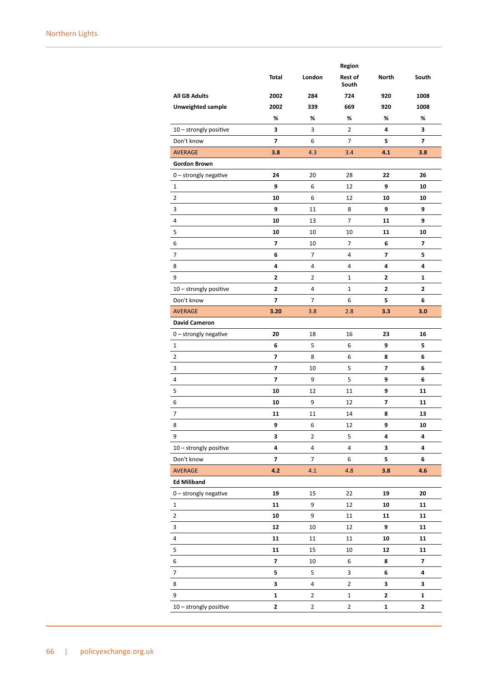|                          |                         |                | Region           |                |                         |
|--------------------------|-------------------------|----------------|------------------|----------------|-------------------------|
|                          | Total                   | London         | Rest of<br>South | North          | South                   |
| <b>All GB Adults</b>     | 2002                    | 284            | 724              | 920            | 1008                    |
| <b>Unweighted sample</b> | 2002                    | 339            | 669              | 920            | 1008                    |
|                          | %                       | %              | %                | %              | %                       |
| 10 - strongly positive   | 3                       | 3              | $\overline{2}$   | 4              | 3                       |
| Don't know               | $\overline{\mathbf{z}}$ | 6              | $\overline{7}$   | 5              | 7                       |
| <b>AVERAGE</b>           | 3.8                     | 4.3            | 3.4              | 4.1            | 3.8                     |
| <b>Gordon Brown</b>      |                         |                |                  |                |                         |
| 0 - strongly negative    | 24                      | 20             | 28               | 22             | 26                      |
| $\mathbf{1}$             | 9                       | 6              | 12               | 9              | 10                      |
| 2                        | 10                      | 6              | 12               | 10             | 10                      |
| 3                        | 9                       | 11             | 8                | 9              | 9                       |
| 4                        | 10                      | 13             | $\overline{7}$   | 11             | 9                       |
| 5                        | 10                      | 10             | 10               | 11             | 10                      |
| 6                        | $\overline{7}$          | 10             | $\overline{7}$   | 6              | $\overline{7}$          |
| 7                        | 6                       | 7              | 4                | 7              | 5                       |
| 8                        | 4                       | 4              | 4                | 4              | 4                       |
| 9                        | $\mathbf{2}$            | 2              | 1                | $\overline{2}$ | 1                       |
| 10 - strongly positive   | $\mathbf{2}$            | 4              | $\mathbf{1}$     | $\overline{2}$ | 2                       |
| Don't know               | 7                       | 7              | 6                | 5              | 6                       |
| <b>AVERAGE</b>           | 3.20                    | 3.8            | 2.8              | 3.3            | 3.0                     |
| <b>David Cameron</b>     |                         |                |                  |                |                         |
| $0$ – strongly negative  | 20                      | 18             | 16               | 23             | 16                      |
| $\mathbf{1}$             | 6                       | 5              | 6                | 9              | 5                       |
| 2                        | $\overline{\mathbf{z}}$ | 8              | 6                | 8              | 6                       |
| 3                        | 7                       | 10             | 5                | 7              | 6                       |
| 4                        | $\overline{\mathbf{z}}$ | 9              | 5                | 9              | 6                       |
| 5                        | 10                      | 12             | 11               | 9              | 11                      |
| 6                        | 10                      | 9              | 12               | 7              | 11                      |
| 7                        | 11                      | 11             | 14               | 8              | 13                      |
| 8                        | 9                       | 6              | 12               | 9              | 10                      |
| 9                        | 3                       | 2              | 5                | 4              | 4                       |
| 10 - strongly positive   | 4                       | $\pmb{4}$      | 4                | 3              | 4                       |
| Don't know               | $\overline{\mathbf{z}}$ | $\overline{7}$ | 6                | 5              | 6                       |
| AVERAGE                  | 4.2                     | 4.1            | 4.8              | 3.8            | 4.6                     |
| <b>Ed Miliband</b>       |                         |                |                  |                |                         |
| 0 - strongly negative    | 19                      | 15             | 22               | 19             | 20                      |
| $\mathbf{1}$             | 11                      | 9              | 12               | 10             | 11                      |
| 2                        | 10                      | 9              | $11\,$           | 11             | 11                      |
| 3                        | 12                      | 10             | 12               | 9              | 11                      |
| 4                        | 11                      | 11             | 11               | 10             | 11                      |
| 5                        | 11                      | 15             | $10\,$           | 12             | 11                      |
| 6                        | $\overline{\mathbf{z}}$ | 10             | 6                | 8              | $\overline{\mathbf{z}}$ |
| $\boldsymbol{7}$         | 5                       | 5              | 3                | 6              | 4                       |
| 8                        | 3                       | 4              | $\overline{2}$   | 3              | 3                       |
| 9                        | $\mathbf 1$             | $\mathbf{2}$   | $\mathbf{1}$     | $\mathbf{2}$   | $\mathbf{1}$            |
| 10 - strongly positive   | $\mathbf{2}$            | $\mathbf 2$    | $\mathbf{2}$     | $\mathbf 1$    | $\mathbf{2}$            |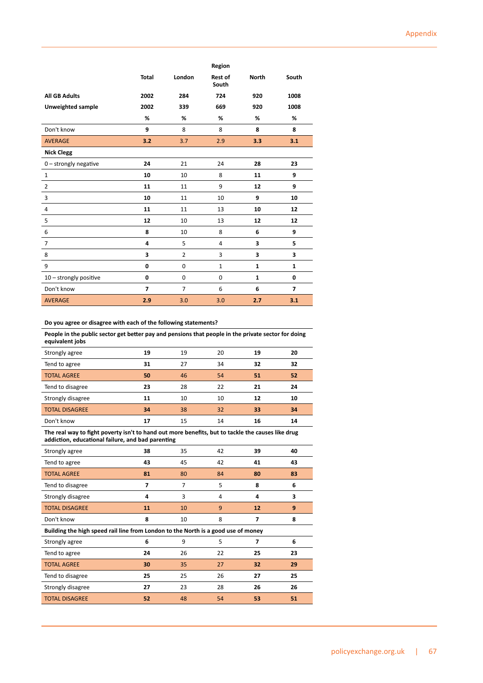|                          |                          |                | Region                  |              |              |
|--------------------------|--------------------------|----------------|-------------------------|--------------|--------------|
|                          | <b>Total</b>             | London         | <b>Rest of</b><br>South | <b>North</b> | South        |
| <b>All GB Adults</b>     | 2002                     | 284            | 724                     | 920          | 1008         |
| <b>Unweighted sample</b> | 2002                     | 339            | 669                     | 920          | 1008         |
|                          | %                        | %              | %                       | %            | %            |
| Don't know               | 9                        | 8              | 8                       | 8            | 8            |
| <b>AVERAGE</b>           | 3.2                      | 3.7            | 2.9                     | 3.3          | 3.1          |
| <b>Nick Clegg</b>        |                          |                |                         |              |              |
| $0$ – strongly negative  | 24                       | 21             | 24                      | 28           | 23           |
| $\mathbf{1}$             | 10                       | 10             | 8                       | 11           | 9            |
| $\overline{2}$           | 11                       | 11             | 9                       | 12           | 9            |
| 3                        | 10                       | 11             | 10                      | 9            | 10           |
| 4                        | 11                       | 11             | 13                      | 10           | 12           |
| 5                        | 12                       | 10             | 13                      | 12           | 12           |
| 6                        | 8                        | 10             | 8                       | 6            | 9            |
| $\overline{7}$           | 4                        | 5              | 4                       | 3            | 5            |
| 8                        | 3                        | $\overline{2}$ | 3                       | 3            | 3            |
| 9                        | 0                        | $\mathbf 0$    | $\mathbf{1}$            | $\mathbf{1}$ | $\mathbf{1}$ |
| 10 - strongly positive   | 0                        | 0              | $\mathbf 0$             | $\mathbf{1}$ | 0            |
| Don't know               | $\overline{\phantom{a}}$ | $\overline{7}$ | 6                       | 6            | 7            |
| <b>AVERAGE</b>           | 2.9                      | 3.0            | 3.0                     | 2.7          | 3.1          |

## **Do you agree or disagree with each of the following statements?**

| People in the public sector get better pay and pensions that people in the private sector for doing<br>equivalent jobs |    |    |    |    |    |
|------------------------------------------------------------------------------------------------------------------------|----|----|----|----|----|
| Strongly agree                                                                                                         | 19 | 19 | 20 | 19 | 20 |
| Tend to agree                                                                                                          | 31 | 27 | 34 | 32 | 32 |
| <b>TOTAL AGREE</b>                                                                                                     | 50 | 46 | 54 | 51 | 52 |
| Tend to disagree                                                                                                       | 23 | 28 | 22 | 21 | 24 |
| Strongly disagree                                                                                                      | 11 | 10 | 10 | 12 | 10 |
| <b>TOTAL DISAGREE</b>                                                                                                  | 34 | 38 | 32 | 33 | 34 |

Don't know **17** 15 14 **16 14 The real way to fight poverty isn't to hand out more benefits, but to tackle the causes like drug addiction, educational failure, and bad parenting**

| Strongly agree                                                                    | 38 | 35 | 42 | 39 | 40 |
|-----------------------------------------------------------------------------------|----|----|----|----|----|
| Tend to agree                                                                     | 43 | 45 | 42 | 41 | 43 |
| <b>TOTAL AGREE</b>                                                                | 81 | 80 | 84 | 80 | 83 |
| Tend to disagree                                                                  | 7  | 7  | 5  | 8  | 6  |
| Strongly disagree                                                                 | 4  | 3  | 4  | 4  | 3  |
| <b>TOTAL DISAGREE</b>                                                             | 11 | 10 | 9  | 12 | 9  |
| Don't know                                                                        | 8  | 10 | 8  | 7  | 8  |
| Building the high speed rail line from London to the North is a good use of money |    |    |    |    |    |
| Strongly agree                                                                    | 6  | 9  | 5  | 7  | 6  |
| Tend to agree                                                                     | 24 | 26 | 22 | 25 | 23 |
| <b>TOTAL AGREE</b>                                                                | 30 | 35 | 27 | 32 | 29 |
| Tend to disagree                                                                  | 25 | 25 | 26 | 27 | 25 |
| Strongly disagree                                                                 | 27 | 23 | 28 | 26 | 26 |
| <b>TOTAL DISAGREE</b>                                                             | 52 | 48 | 54 | 53 | 51 |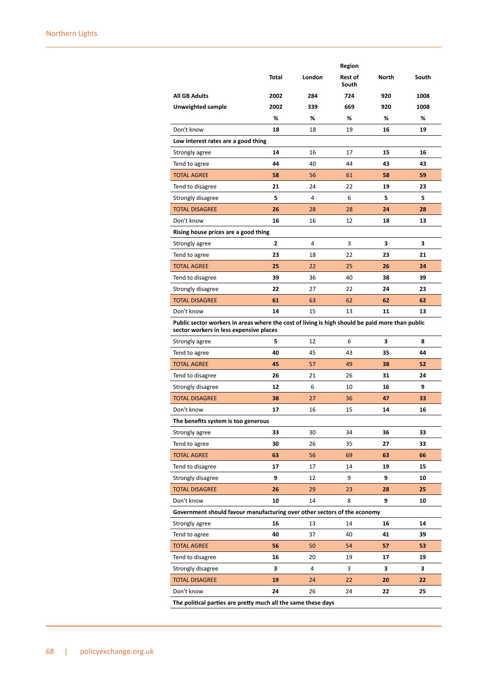|                                                                                                                                            |                |        | Region           |       |       |
|--------------------------------------------------------------------------------------------------------------------------------------------|----------------|--------|------------------|-------|-------|
|                                                                                                                                            | Total          | London | Rest of<br>South | North | South |
| <b>All GB Adults</b>                                                                                                                       | 2002           | 284    | 724              | 920   | 1008  |
| Unweighted sample                                                                                                                          | 2002           | 339    | 669              | 920   | 1008  |
|                                                                                                                                            | %              | %      | %                | %     | %     |
| Don't know                                                                                                                                 | 18             | 18     | 19               | 16    | 19    |
| Low interest rates are a good thing                                                                                                        |                |        |                  |       |       |
| Strongly agree                                                                                                                             | 14             | 16     | 17               | 15    | 16    |
| Tend to agree                                                                                                                              | 44             | 40     | 44               | 43    | 43    |
| <b>TOTAL AGREE</b>                                                                                                                         | 58             | 56     | 61               | 58    | 59    |
| Tend to disagree                                                                                                                           | 21             | 24     | 22               | 19    | 23    |
| Strongly disagree                                                                                                                          | 5              | 4      | 6                | 5     | 5     |
| <b>TOTAL DISAGREE</b>                                                                                                                      | 26             | 28     | 28               | 24    | 28    |
| Don't know                                                                                                                                 | 16             | 16     | 12               | 18    | 13    |
| Rising house prices are a good thing                                                                                                       |                |        |                  |       |       |
| Strongly agree                                                                                                                             | $\overline{2}$ | 4      | 3                | 3     | 3     |
| Tend to agree                                                                                                                              | 23             | 18     | 22               | 23    | 21    |
| <b>TOTAL AGREE</b>                                                                                                                         | 25             | 22     | 25               | 26    | 24    |
| Tend to disagree                                                                                                                           | 39             | 36     | 40               | 38    | 39    |
| Strongly disagree                                                                                                                          | 22             | 27     | 22               | 24    | 23    |
| <b>TOTAL DISAGREE</b>                                                                                                                      | 61             | 63     | 62               | 62    | 62    |
| Don't know                                                                                                                                 | 14             | 15     | 13               | 11    | 13    |
| Public sector workers in areas where the cost of living is high should be paid more than public<br>sector workers in less expensive places |                |        |                  |       |       |
| Strongly agree                                                                                                                             | 5              | 12     | 6                | 3     | 8     |
| Tend to agree                                                                                                                              | 40             | 45     | 43               | 35    | 44    |
| <b>TOTAL AGREE</b>                                                                                                                         | 45             | 57     | 49               | 38    | 52    |
| Tend to disagree                                                                                                                           | 26             | 21     | 26               | 31    | 24    |
| Strongly disagree                                                                                                                          | 12             | 6      | 10               | 16    | 9     |
| <b>TOTAL DISAGREE</b>                                                                                                                      | 38             | 27     | 36               | 47    | 33    |
| Don't know                                                                                                                                 | 17             | 16     | 15               | 14    | 16    |
| The benefits system is too generous                                                                                                        |                |        |                  |       |       |
| Strongly agree                                                                                                                             | 33             | 30     | 34               | 36    | 33    |
| Tend to agree                                                                                                                              | 30             | 26     | 35               | 27    | 33    |
| <b>TOTAL AGREE</b>                                                                                                                         | 63             | 56     | 69               | 63    | 66    |
| Tend to disagree                                                                                                                           | 17             | 17     | 14               | 19    | 15    |
| Strongly disagree                                                                                                                          | 9              | 12     | 9                | 9     | 10    |
| <b>TOTAL DISAGREE</b>                                                                                                                      | 26             | 29     | 23               | 28    | 25    |
| Don't know                                                                                                                                 | 10             | 14     | 8                | 9     | 10    |
| Government should favour manufacturing over other sectors of the economy                                                                   |                |        |                  |       |       |
| Strongly agree                                                                                                                             | 16             | 13     | 14               | 16    | 14    |
| Tend to agree                                                                                                                              | 40             | 37     | 40               | 41    | 39    |
| <b>TOTAL AGREE</b>                                                                                                                         | 56             | 50     | 54               | 57    | 53    |
| Tend to disagree                                                                                                                           | 16             | 20     | 19               | 17    | 19    |
| Strongly disagree                                                                                                                          | 3              | 4      | 3                | 3     | 3     |
| <b>TOTAL DISAGREE</b>                                                                                                                      | 19             | 24     | 22               | 20    | 22    |
| Don't know                                                                                                                                 | 24             | 26     | 24               | 22    | 25    |
| The political parties are pretty much all the same these days                                                                              |                |        |                  |       |       |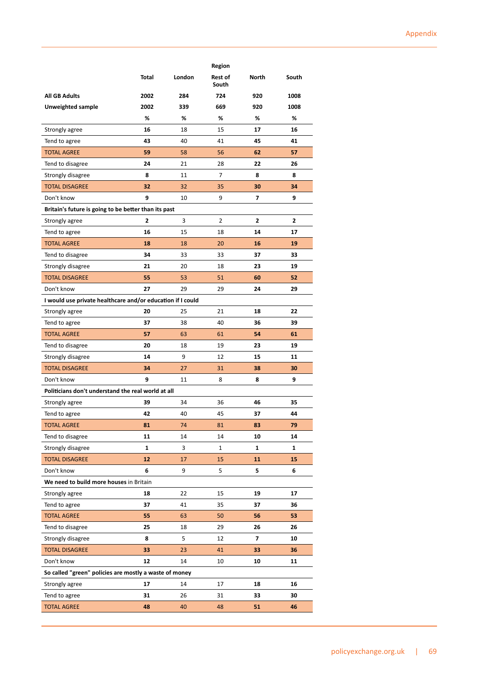|                                                            |       |        | Region           |              |       |
|------------------------------------------------------------|-------|--------|------------------|--------------|-------|
|                                                            | Total | London | Rest of<br>South | <b>North</b> | South |
| <b>All GB Adults</b>                                       | 2002  | 284    | 724              | 920          | 1008  |
| Unweighted sample                                          | 2002  | 339    | 669              | 920          | 1008  |
|                                                            | %     | %      | %                | %            | %     |
| Strongly agree                                             | 16    | 18     | 15               | 17           | 16    |
| Tend to agree                                              | 43    | 40     | 41               | 45           | 41    |
| <b>TOTAL AGREE</b>                                         | 59    | 58     | 56               | 62           | 57    |
| Tend to disagree                                           | 24    | 21     | 28               | 22           | 26    |
| Strongly disagree                                          | 8     | 11     | 7                | 8            | 8     |
| <b>TOTAL DISAGREE</b>                                      | 32    | 32     | 35               | 30           | 34    |
| Don't know                                                 | 9     | 10     | 9                | 7            | 9     |
| Britain's future is going to be better than its past       |       |        |                  |              |       |
| Strongly agree                                             | 2     | 3      | $\overline{2}$   | 2            | 2     |
| Tend to agree                                              | 16    | 15     | 18               | 14           | 17    |
| <b>TOTAL AGREE</b>                                         | 18    | 18     | 20               | 16           | 19    |
| Tend to disagree                                           | 34    | 33     | 33               | 37           | 33    |
| Strongly disagree                                          | 21    | 20     | 18               | 23           | 19    |
| <b>TOTAL DISAGREE</b>                                      | 55    | 53     | 51               | 60           | 52    |
| Don't know                                                 | 27    | 29     | 29               | 24           | 29    |
| I would use private healthcare and/or education if I could |       |        |                  |              |       |
| Strongly agree                                             | 20    | 25     | 21               | 18           | 22    |
| Tend to agree                                              | 37    | 38     | 40               | 36           | 39    |
| <b>TOTAL AGREE</b>                                         | 57    | 63     | 61               | 54           | 61    |
| Tend to disagree                                           | 20    | 18     | 19               | 23           | 19    |
| Strongly disagree                                          | 14    | 9      | 12               | 15           | 11    |
| <b>TOTAL DISAGREE</b>                                      | 34    | 27     | 31               | 38           | 30    |
| Don't know                                                 | 9     | 11     | 8                | 8            | 9     |
| Politicians don't understand the real world at all         |       |        |                  |              |       |
| Strongly agree                                             | 39    | 34     | 36               | 46           | 35    |
| Tend to agree                                              | 42    | 40     | 45               | 37           | 44    |
| <b>TOTAL AGREE</b>                                         | 81    | 74     | 81               | 83           | 79    |
| Tend to disagree                                           | 11    | 14     | 14               | 10           | 14    |
| Strongly disagree                                          | 1     | 3      | 1                | 1            | 1     |
| <b>TOTAL DISAGREE</b>                                      | 12    | 17     | 15               | 11           | 15    |
| Don't know                                                 | 6     | 9      | 5                | 5            | 6     |
| We need to build more houses in Britain                    |       |        |                  |              |       |
| Strongly agree                                             | 18    | 22     | 15               | 19           | 17    |
| Tend to agree                                              | 37    | 41     | 35               | 37           | 36    |
| <b>TOTAL AGREE</b>                                         | 55    | 63     | 50               | 56           | 53    |
| Tend to disagree                                           | 25    | 18     | 29               | 26           | 26    |
| Strongly disagree                                          | 8     | 5      | 12               | 7            | 10    |
| <b>TOTAL DISAGREE</b>                                      | 33    | 23     | 41               | 33           | 36    |
| Don't know                                                 | 12    | 14     | 10               | 10           | 11    |
| So called "green" policies are mostly a waste of money     |       |        |                  |              |       |
| Strongly agree                                             | 17    | 14     | 17               | 18           | 16    |
| Tend to agree                                              | 31    | 26     | 31               | 33           | 30    |
| <b>TOTAL AGREE</b>                                         | 48    | 40     | 48               | 51           | 46    |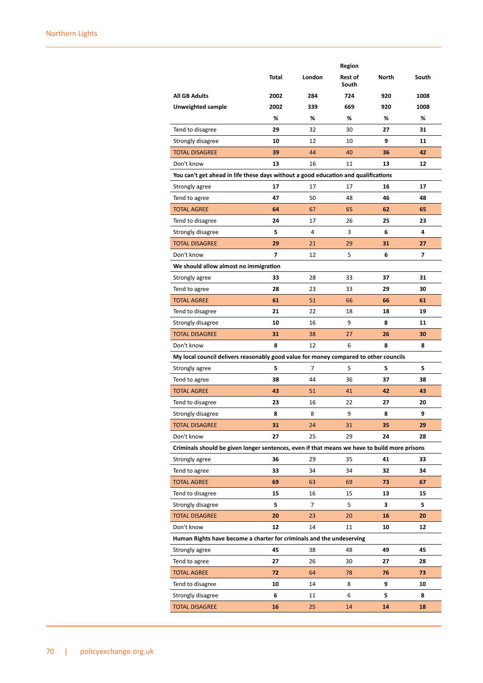|                                                                                              |       |        | Region           |              |       |
|----------------------------------------------------------------------------------------------|-------|--------|------------------|--------------|-------|
|                                                                                              | Total | London | Rest of<br>South | <b>North</b> | South |
| <b>All GB Adults</b>                                                                         | 2002  | 284    | 724              | 920          | 1008  |
| Unweighted sample                                                                            | 2002  | 339    | 669              | 920          | 1008  |
|                                                                                              | %     | %      | %                | %            | %     |
| Tend to disagree                                                                             | 29    | 32     | 30               | 27           | 31    |
| Strongly disagree                                                                            | 10    | 12     | 10               | 9            | 11    |
| <b>TOTAL DISAGREE</b>                                                                        | 39    | 44     | 40               | 36           | 42    |
| Don't know                                                                                   | 13    | 16     | 11               | 13           | 12    |
| You can't get ahead in life these days without a good education and qualifications           |       |        |                  |              |       |
| Strongly agree                                                                               | 17    | 17     | 17               | 16           | 17    |
| Tend to agree                                                                                | 47    | 50     | 48               | 46           | 48    |
| <b>TOTAL AGREE</b>                                                                           | 64    | 67     | 65               | 62           | 65    |
| Tend to disagree                                                                             | 24    | 17     | 26               | 25           | 23    |
| Strongly disagree                                                                            | 5     | 4      | 3                | 6            | 4     |
| <b>TOTAL DISAGREE</b>                                                                        | 29    | 21     | 29               | 31           | 27    |
| Don't know                                                                                   | 7     | 12     | 5                | 6            | 7     |
| We should allow almost no immigration                                                        |       |        |                  |              |       |
| Strongly agree                                                                               | 33    | 28     | 33               | 37           | 31    |
| Tend to agree                                                                                | 28    | 23     | 33               | 29           | 30    |
| <b>TOTAL AGREE</b>                                                                           | 61    | 51     | 66               | 66           | 61    |
| Tend to disagree                                                                             | 21    | 22     | 18               | 18           | 19    |
| Strongly disagree                                                                            | 10    | 16     | 9                | 8            | 11    |
| <b>TOTAL DISAGREE</b>                                                                        | 31    | 38     | 27               | 26           | 30    |
| Don't know                                                                                   | 8     | 12     | 6                | 8            | 8     |
| My local council delivers reasonably good value for money compared to other councils         |       |        |                  |              |       |
| Strongly agree                                                                               | 5     | 7      | 5                | 5            | 5     |
| Tend to agree                                                                                | 38    | 44     | 36               | 37           | 38    |
| <b>TOTAL AGREE</b>                                                                           | 43    | 51     | 41               | 42           | 43    |
| Tend to disagree                                                                             | 23    | 16     | 22               | 27           | 20    |
| Strongly disagree                                                                            | 8     | 8      | 9                | 8            | 9     |
| <b>TOTAL DISAGREE</b>                                                                        | 31    | 24     | 31               | 35           | 29    |
| Don't know                                                                                   | 27    | 25     | 29               | 24           | 28    |
| Criminals should be given longer sentences, even if that means we have to build more prisons |       |        |                  |              |       |
| Strongly agree                                                                               | 36    | 29     | 35               | 41           | 33    |
| Tend to agree                                                                                | 33    | 34     | 34               | 32           | 34    |
| <b>TOTAL AGREE</b>                                                                           | 69    | 63     | 69               | 73           | 67    |
| Tend to disagree                                                                             | 15    | 16     | 15               | 13           | 15    |
| Strongly disagree                                                                            | 5     | 7      | 5                | 3            | 5     |
| <b>TOTAL DISAGREE</b>                                                                        | 20    | 23     | 20               | 16           | 20    |
| Don't know                                                                                   | 12    | 14     | 11               | 10           | 12    |
| Human Rights have become a charter for criminals and the undeserving                         |       |        |                  |              |       |
| Strongly agree                                                                               | 45    | 38     | 48               | 49           | 45    |
| Tend to agree                                                                                | 27    | 26     | 30               | 27           | 28    |
| <b>TOTAL AGREE</b>                                                                           | 72    | 64     | 78               | 76           | 73    |
| Tend to disagree                                                                             | 10    | 14     | 8                | 9            | 10    |
| Strongly disagree                                                                            | 6     | 11     | 6                | 5            | 8     |
| <b>TOTAL DISAGREE</b>                                                                        | 16    | 25     | 14               | 14           | 18    |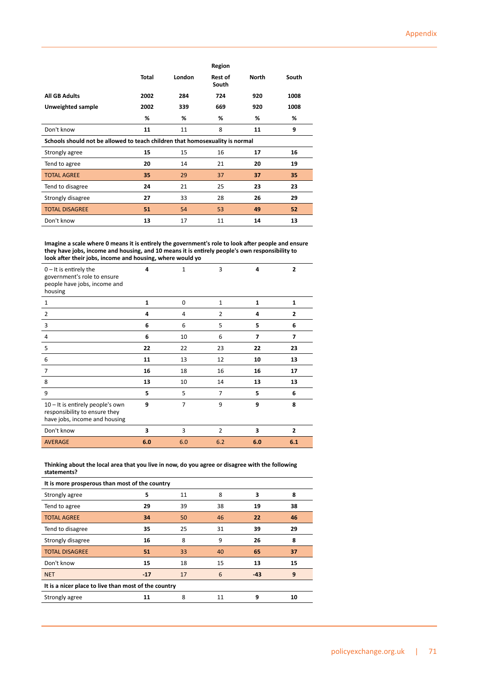|                                                                              |              |        | Region                  |              |       |
|------------------------------------------------------------------------------|--------------|--------|-------------------------|--------------|-------|
|                                                                              | <b>Total</b> | London | <b>Rest of</b><br>South | <b>North</b> | South |
| <b>All GB Adults</b>                                                         | 2002         | 284    | 724                     | 920          | 1008  |
| Unweighted sample                                                            | 2002         | 339    | 669                     | 920          | 1008  |
|                                                                              | %            | %      | %                       | %            | %     |
| Don't know                                                                   | 11           | 11     | 8                       | 11           | 9     |
| Schools should not be allowed to teach children that homosexuality is normal |              |        |                         |              |       |
| Strongly agree                                                               | 15           | 15     | 16                      | 17           | 16    |
| Tend to agree                                                                | 20           | 14     | 21                      | 20           | 19    |
| <b>TOTAL AGREE</b>                                                           | 35           | 29     | 37                      | 37           | 35    |
| Tend to disagree                                                             | 24           | 21     | 25                      | 23           | 23    |
| Strongly disagree                                                            | 27           | 33     | 28                      | 26           | 29    |
| <b>TOTAL DISAGREE</b>                                                        | 51           | 54     | 53                      | 49           | 52    |
| Don't know                                                                   | 13           | 17     | 11                      | 14           | 13    |

**Imagine a scale where 0 means it is entirely the government's role to look after people and ensure they have jobs, income and housing, and 10 means it is entirely people's own responsibility to look after their jobs, income and housing, where would yo**

| $0$ – It is entirely the<br>government's role to ensure<br>people have jobs, income and<br>housing | 4   | 1              | 3              | 4   | $\mathbf{2}$   |
|----------------------------------------------------------------------------------------------------|-----|----------------|----------------|-----|----------------|
| 1                                                                                                  | 1   | $\Omega$       | $\mathbf{1}$   | 1   | 1              |
| 2                                                                                                  | 4   | 4              | $\overline{2}$ | 4   | $\mathbf{2}$   |
| 3                                                                                                  | 6   | 6              | 5              | 5   | 6              |
| 4                                                                                                  | 6   | 10             | 6              | 7   | 7              |
| 5                                                                                                  | 22  | 22             | 23             | 22  | 23             |
| 6                                                                                                  | 11  | 13             | 12             | 10  | 13             |
| 7                                                                                                  | 16  | 18             | 16             | 16  | 17             |
| 8                                                                                                  | 13  | 10             | 14             | 13  | 13             |
| 9                                                                                                  | 5   | 5              | 7              | 5   | 6              |
| 10 - It is entirely people's own<br>responsibility to ensure they<br>have jobs, income and housing | 9   | $\overline{7}$ | 9              | 9   | 8              |
| Don't know                                                                                         | 3   | 3              | $\overline{2}$ | 3   | $\overline{2}$ |
| <b>AVERAGE</b>                                                                                     | 6.0 | 6.0            | 6.2            | 6.0 | 6.1            |

**Thinking about the local area that you live in now, do you agree or disagree with the following statements?**

| It is more prosperous than most of the country       |       |    |    |       |    |  |
|------------------------------------------------------|-------|----|----|-------|----|--|
| Strongly agree                                       | 5     | 11 | 8  | 3     | 8  |  |
| Tend to agree                                        | 29    | 39 | 38 | 19    | 38 |  |
| <b>TOTAL AGREE</b>                                   | 34    | 50 | 46 | 22    | 46 |  |
| Tend to disagree                                     | 35    | 25 | 31 | 39    | 29 |  |
| Strongly disagree                                    | 16    | 8  | 9  | 26    | 8  |  |
| <b>TOTAL DISAGREE</b>                                | 51    | 33 | 40 | 65    | 37 |  |
| Don't know                                           | 15    | 18 | 15 | 13    | 15 |  |
| <b>NET</b>                                           | $-17$ | 17 | 6  | $-43$ | 9  |  |
| It is a nicer place to live than most of the country |       |    |    |       |    |  |
| Strongly agree                                       | 11    | 8  | 11 | 9     | 10 |  |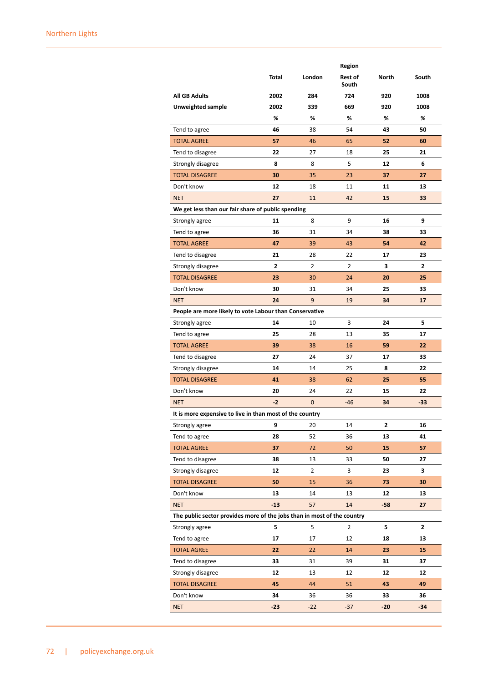|                                                                         |       |             | Region           |       |       |
|-------------------------------------------------------------------------|-------|-------------|------------------|-------|-------|
|                                                                         | Total | London      | Rest of<br>South | North | South |
| <b>All GB Adults</b>                                                    | 2002  | 284         | 724              | 920   | 1008  |
| Unweighted sample                                                       | 2002  | 339         | 669              | 920   | 1008  |
|                                                                         | %     | %           | %                | %     | %     |
| Tend to agree                                                           | 46    | 38          | 54               | 43    | 50    |
| <b>TOTAL AGREE</b>                                                      | 57    | 46          | 65               | 52    | 60    |
| Tend to disagree                                                        | 22    | 27          | 18               | 25    | 21    |
| Strongly disagree                                                       | 8     | 8           | 5                | 12    | 6     |
| <b>TOTAL DISAGREE</b>                                                   | 30    | 35          | 23               | 37    | 27    |
| Don't know                                                              | 12    | 18          | 11               | 11    | 13    |
| <b>NET</b>                                                              | 27    | 11          | 42               | 15    | 33    |
| We get less than our fair share of public spending                      |       |             |                  |       |       |
| Strongly agree                                                          | 11    | 8           | 9                | 16    | 9     |
| Tend to agree                                                           | 36    | 31          | 34               | 38    | 33    |
| <b>TOTAL AGREE</b>                                                      | 47    | 39          | 43               | 54    | 42    |
| Tend to disagree                                                        | 21    | 28          | 22               | 17    | 23    |
| Strongly disagree                                                       | 2     | 2           | 2                | З     | 2     |
| <b>TOTAL DISAGREE</b>                                                   | 23    | 30          | 24               | 20    | 25    |
| Don't know                                                              | 30    | 31          | 34               | 25    | 33    |
| <b>NET</b>                                                              | 24    | 9           | 19               | 34    | 17    |
| People are more likely to vote Labour than Conservative                 |       |             |                  |       |       |
| Strongly agree                                                          | 14    | 10          | 3                | 24    | 5     |
| Tend to agree                                                           | 25    | 28          | 13               | 35    | 17    |
| <b>TOTAL AGREE</b>                                                      | 39    | 38          | 16               | 59    | 22    |
| Tend to disagree                                                        | 27    | 24          | 37               | 17    | 33    |
| Strongly disagree                                                       | 14    | 14          | 25               | 8     | 22    |
| <b>TOTAL DISAGREE</b>                                                   | 41    | 38          | 62               | 25    | 55    |
| Don't know                                                              | 20    | 24          | 22               | 15    | 22    |
| <b>NET</b>                                                              | $-2$  | $\mathbf 0$ | $-46$            | 34    | $-33$ |
| It is more expensive to live in than most of the country                |       |             |                  |       |       |
| Strongly agree                                                          | 9     | 20          | 14               | 2     | 16    |
| Tend to agree                                                           | 28    | 52          | 36               | 13    | 41    |
| <b>TOTAL AGREE</b>                                                      | 37    | 72          | 50               | 15    | 57    |
| Tend to disagree                                                        | 38    | 13          | 33               | 50    | 27    |
| Strongly disagree                                                       | 12    | 2           | 3                | 23    | 3     |
| <b>TOTAL DISAGREE</b>                                                   | 50    | 15          | 36               | 73    | 30    |
| Don't know                                                              | 13    | 14          | 13               | 12    | 13    |
| <b>NET</b>                                                              | $-13$ | 57          | 14               | $-58$ | 27    |
| The public sector provides more of the jobs than in most of the country |       |             |                  |       |       |
| Strongly agree                                                          | 5     | 5           | 2                | 5     | 2     |
| Tend to agree                                                           | 17    | 17          | 12               | 18    | 13    |
| <b>TOTAL AGREE</b>                                                      | 22    | 22          | 14               | 23    | 15    |
| Tend to disagree                                                        | 33    | 31          | 39               | 31    | 37    |
| Strongly disagree                                                       | 12    | 13          | 12               | 12    | 12    |
| <b>TOTAL DISAGREE</b>                                                   | 45    | 44          | 51               | 43    | 49    |
| Don't know                                                              | 34    | 36          | 36               | 33    | 36    |
| <b>NET</b>                                                              | $-23$ | $-22$       | $-37$            | $-20$ | $-34$ |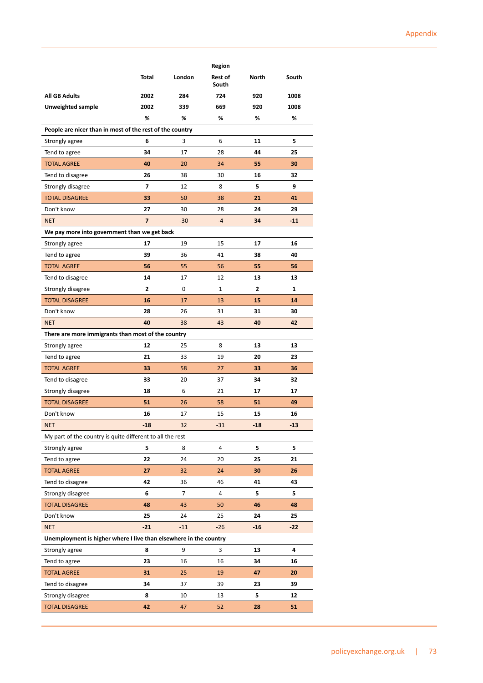|                                                                   |                |        | Region           |              |       |  |  |  |
|-------------------------------------------------------------------|----------------|--------|------------------|--------------|-------|--|--|--|
|                                                                   | Total          | London | Rest of<br>South | North        | South |  |  |  |
| All GB Adults                                                     | 2002           | 284    | 724              | 920          | 1008  |  |  |  |
| Unweighted sample                                                 | 2002           | 339    | 669              | 920          | 1008  |  |  |  |
|                                                                   | %              | %      | %                | %            | %     |  |  |  |
| People are nicer than in most of the rest of the country          |                |        |                  |              |       |  |  |  |
| Strongly agree                                                    | 6              | 3      | 6                | 11           | 5     |  |  |  |
| Tend to agree                                                     | 34             | 17     | 28               | 44           | 25    |  |  |  |
| <b>TOTAL AGREE</b>                                                | 40             | 20     | 34               | 55           | 30    |  |  |  |
| Tend to disagree                                                  | 26             | 38     | 30               | 16           | 32    |  |  |  |
| Strongly disagree                                                 | 7              | 12     | 8                | 5            | 9     |  |  |  |
| <b>TOTAL DISAGREE</b>                                             | 33             | 50     | 38               | 21           | 41    |  |  |  |
| Don't know                                                        | 27             | 30     | 28               | 24           | 29    |  |  |  |
| <b>NET</b>                                                        | $\overline{7}$ | $-30$  | $-4$             | 34           | $-11$ |  |  |  |
| We pay more into government than we get back                      |                |        |                  |              |       |  |  |  |
| Strongly agree                                                    | 17             | 19     | 15               | 17           | 16    |  |  |  |
| Tend to agree                                                     | 39             | 36     | 41               | 38           | 40    |  |  |  |
| <b>TOTAL AGREE</b>                                                | 56             | 55     | 56               | 55           | 56    |  |  |  |
| Tend to disagree                                                  | 14             | 17     | 12               | 13           | 13    |  |  |  |
| Strongly disagree                                                 | $\overline{2}$ | 0      | $\mathbf{1}$     | $\mathbf{2}$ | 1     |  |  |  |
| <b>TOTAL DISAGREE</b>                                             | 16             | 17     | 13               | 15           | 14    |  |  |  |
| Don't know                                                        | 28             | 26     | 31               | 31           | 30    |  |  |  |
| <b>NET</b>                                                        | 40             | 38     | 43               | 40           | 42    |  |  |  |
| There are more immigrants than most of the country                |                |        |                  |              |       |  |  |  |
| Strongly agree                                                    | 12             | 25     | 8                | 13           | 13    |  |  |  |
| Tend to agree                                                     | 21             | 33     | 19               | 20           | 23    |  |  |  |
| <b>TOTAL AGREE</b>                                                | 33             | 58     | 27               | 33           | 36    |  |  |  |
| Tend to disagree                                                  | 33             | 20     | 37               | 34           | 32    |  |  |  |
| Strongly disagree                                                 | 18             | 6      | 21               | 17           | 17    |  |  |  |
| <b>TOTAL DISAGREE</b>                                             | 51             | 26     | 58               | 51           | 49    |  |  |  |
| Don't know                                                        | 16             | 17     | 15               | 15           | 16    |  |  |  |
| <b>NET</b>                                                        | $-18$          | 32     | $-31$            | $-18$        | $-13$ |  |  |  |
| My part of the country is quite different to all the rest         |                |        |                  |              |       |  |  |  |
| Strongly agree                                                    | 5              | 8      | 4                | 5            | 5     |  |  |  |
| Tend to agree                                                     | 22             | 24     | 20               | 25           | 21    |  |  |  |
| <b>TOTAL AGREE</b>                                                | 27             | 32     | 24               | 30           | 26    |  |  |  |
| Tend to disagree                                                  | 42             | 36     | 46               | 41           | 43    |  |  |  |
| Strongly disagree                                                 | 6              | 7      | 4                | 5            | 5     |  |  |  |
| <b>TOTAL DISAGREE</b>                                             | 48             | 43     | 50               | 46           | 48    |  |  |  |
| Don't know                                                        | 25             | 24     | 25               | 24           | 25    |  |  |  |
| <b>NET</b>                                                        | $-21$          | $-11$  | $-26$            | $-16$        | $-22$ |  |  |  |
| Unemployment is higher where I live than elsewhere in the country |                |        |                  |              |       |  |  |  |
| Strongly agree                                                    | 8              | 9      | 3                | 13           | 4     |  |  |  |
| Tend to agree                                                     | 23             | 16     | 16               | 34           | 16    |  |  |  |
| <b>TOTAL AGREE</b>                                                | 31             | 25     | 19               | 47           | 20    |  |  |  |
| Tend to disagree                                                  | 34             | 37     | 39               | 23           | 39    |  |  |  |
| Strongly disagree                                                 | 8              | 10     | 13               | 5            | 12    |  |  |  |
| <b>TOTAL DISAGREE</b>                                             | 42             | 47     | 52               | 28           | 51    |  |  |  |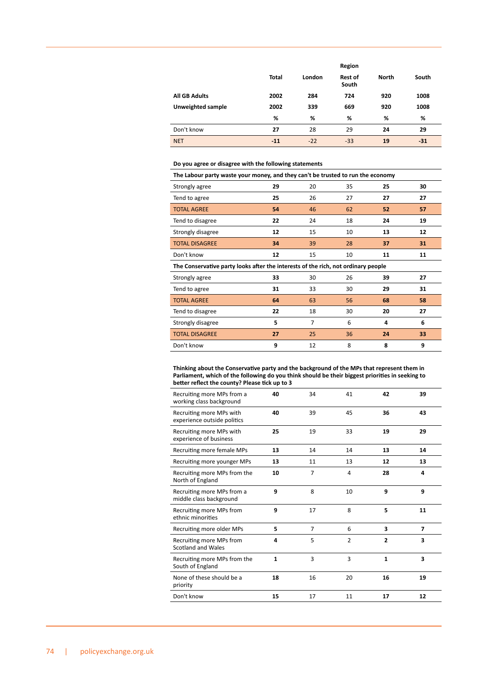|                      |              |        | Region                  |              |       |  |
|----------------------|--------------|--------|-------------------------|--------------|-------|--|
|                      | <b>Total</b> | London | <b>Rest of</b><br>South | <b>North</b> | South |  |
| <b>All GB Adults</b> | 2002         | 284    | 724                     | 920          | 1008  |  |
| Unweighted sample    | 2002         | 339    | 669                     | 920          | 1008  |  |
|                      | %            | %      | %                       | %            | %     |  |
| Don't know           | 27           | 28     | 29                      | 24           | 29    |  |
| <b>NET</b>           | $-11$        | $-22$  | $-33$                   | 19           | $-31$ |  |

## **Do you agree or disagree with the following statements**

| The Labour party waste your money, and they can't be trusted to run the economy   |    |    |    |    |    |  |
|-----------------------------------------------------------------------------------|----|----|----|----|----|--|
| Strongly agree                                                                    | 29 | 20 | 35 | 25 | 30 |  |
| Tend to agree                                                                     | 25 | 26 | 27 | 27 | 27 |  |
| <b>TOTAL AGREE</b>                                                                | 54 | 46 | 62 | 52 | 57 |  |
| Tend to disagree                                                                  | 22 | 24 | 18 | 24 | 19 |  |
| Strongly disagree                                                                 | 12 | 15 | 10 | 13 | 12 |  |
| <b>TOTAL DISAGREE</b>                                                             | 34 | 39 | 28 | 37 | 31 |  |
| Don't know                                                                        | 12 | 15 | 10 | 11 | 11 |  |
| The Conservative party looks after the interests of the rich, not ordinary people |    |    |    |    |    |  |
| Strongly agree                                                                    | 33 | 30 | 26 | 39 | 27 |  |
| Tend to agree                                                                     | 31 | 33 | 30 | 29 | 31 |  |
| <b>TOTAL AGREE</b>                                                                | 64 | 63 | 56 | 68 | 58 |  |
| Tend to disagree                                                                  | 22 | 18 | 30 | 20 | 27 |  |
|                                                                                   |    |    |    |    |    |  |
| Strongly disagree                                                                 | 5  | 7  | 6  | 4  | 6  |  |
| <b>TOTAL DISAGREE</b>                                                             | 27 | 25 | 36 | 24 | 33 |  |

**Thinking about the Conservative party and the background of the MPs that represent them in Parliament, which of the following do you think should be their biggest priorities in seeking to better reflect the county? Please tick up to 3**

| Recruiting more MPs from a<br>working class background  | 40           | 34             | 41             | 42             | 39                      |
|---------------------------------------------------------|--------------|----------------|----------------|----------------|-------------------------|
| Recruiting more MPs with<br>experience outside politics | 40           | 39             | 45             | 36             | 43                      |
| Recruiting more MPs with<br>experience of business      | 25           | 19             | 33             | 19             | 29                      |
| Recruiting more female MPs                              | 13           | 14             | 14             | 13             | 14                      |
| Recruiting more younger MPs                             | 13           | 11             | 13             | 12             | 13                      |
| Recruiting more MPs from the<br>North of England        | 10           | $\overline{7}$ | 4              | 28             | 4                       |
| Recruiting more MPs from a<br>middle class background   | 9            | 8              | 10             | 9              | 9                       |
| Recruiting more MPs from<br>ethnic minorities           | 9            | 17             | 8              | 5              | 11                      |
| Recruiting more older MPs                               | 5            | $\overline{7}$ | 6              | 3              | $\overline{\mathbf{z}}$ |
| Recruiting more MPs from<br>Scotland and Wales          | 4            | 5              | $\overline{2}$ | $\overline{2}$ | 3                       |
| Recruiting more MPs from the<br>South of England        | $\mathbf{1}$ | 3              | 3              | $\mathbf{1}$   | $\overline{\mathbf{3}}$ |
| None of these should be a<br>priority                   | 18           | 16             | 20             | 16             | 19                      |
| Don't know                                              | 15           | 17             | 11             | 17             | 12                      |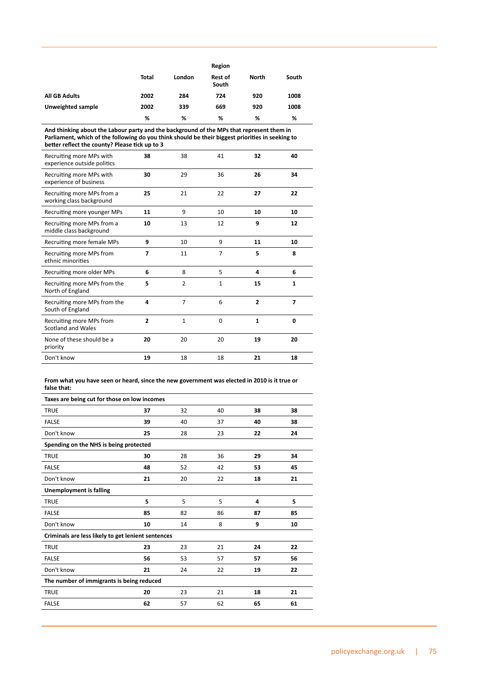|                      | Region |        |                         |       |       |  |  |
|----------------------|--------|--------|-------------------------|-------|-------|--|--|
|                      | Total  | London | <b>Rest of</b><br>South | North | South |  |  |
| <b>All GB Adults</b> | 2002   | 284    | 724                     | 920   | 1008  |  |  |
| Unweighted sample    | 2002   | 339    | 669                     | 920   | 1008  |  |  |
|                      | %      | %      | %                       | %     | %     |  |  |

**And thinking about the Labour party and the background of the MPs that represent them in Parliament, which of the following do you think should be their biggest priorities in seeking to better reflect the county? Please tick up to 3**

| Recruiting more MPs with<br>experience outside politics | 38             | 38             | 41             | 32             | 40             |
|---------------------------------------------------------|----------------|----------------|----------------|----------------|----------------|
| Recruiting more MPs with<br>experience of business      | 30             | 29             | 36             | 26             | 34             |
| Recruiting more MPs from a<br>working class background  | 25             | 21             | 22             | 27             | 22             |
| Recruiting more younger MPs                             | 11             | 9              | 10             | 10             | 10             |
| Recruiting more MPs from a<br>middle class background   | 10             | 13             | 12             | 9              | 12             |
| Recruiting more female MPs                              | 9              | 10             | 9              | 11             | 10             |
| Recruiting more MPs from<br>ethnic minorities           | $\overline{z}$ | 11             | $\overline{7}$ | 5              | 8              |
| Recruiting more older MPs                               | 6              | 8              | 5              | 4              | 6              |
| Recruiting more MPs from the<br>North of England        | 5              | $\overline{2}$ | $\mathbf{1}$   | 15             | $\mathbf{1}$   |
| Recruiting more MPs from the<br>South of England        | 4              | $\overline{7}$ | 6              | $\overline{2}$ | $\overline{7}$ |
| Recruiting more MPs from<br><b>Scotland and Wales</b>   | $\overline{2}$ | $\mathbf{1}$   | $\Omega$       | $\mathbf{1}$   | 0              |
| None of these should be a<br>priority                   | 20             | 20             | 20             | 19             | 20             |
| Don't know                                              | 19             | 18             | 18             | 21             | 18             |

**From what you have seen or heard, since the new government was elected in 2010 is it true or false that:**

| Taxes are being cut for those on low incomes       |    |    |    |    |    |  |  |  |
|----------------------------------------------------|----|----|----|----|----|--|--|--|
| <b>TRUE</b>                                        | 37 | 32 | 40 | 38 | 38 |  |  |  |
| <b>FALSE</b>                                       | 39 | 40 | 37 | 40 | 38 |  |  |  |
| Don't know                                         | 25 | 28 | 23 | 22 | 24 |  |  |  |
| Spending on the NHS is being protected             |    |    |    |    |    |  |  |  |
| <b>TRUE</b>                                        | 30 | 28 | 36 | 29 | 34 |  |  |  |
| <b>FALSE</b>                                       | 48 | 52 | 42 | 53 | 45 |  |  |  |
| Don't know                                         | 21 | 20 | 22 | 18 | 21 |  |  |  |
| <b>Unemployment is falling</b>                     |    |    |    |    |    |  |  |  |
| <b>TRUE</b>                                        | 5  | 5  | 5  | 4  | 5  |  |  |  |
| <b>FALSE</b>                                       | 85 | 82 | 86 | 87 | 85 |  |  |  |
| Don't know                                         | 10 | 14 | 8  | 9  | 10 |  |  |  |
| Criminals are less likely to get lenient sentences |    |    |    |    |    |  |  |  |
| <b>TRUE</b>                                        | 23 | 23 | 21 | 24 | 22 |  |  |  |
| <b>FALSE</b>                                       | 56 | 53 | 57 | 57 | 56 |  |  |  |
| Don't know                                         | 21 | 24 | 22 | 19 | 22 |  |  |  |
| The number of immigrants is being reduced          |    |    |    |    |    |  |  |  |
| <b>TRUE</b>                                        | 20 | 23 | 21 | 18 | 21 |  |  |  |
| <b>FALSE</b>                                       | 62 | 57 | 62 | 65 | 61 |  |  |  |
|                                                    |    |    |    |    |    |  |  |  |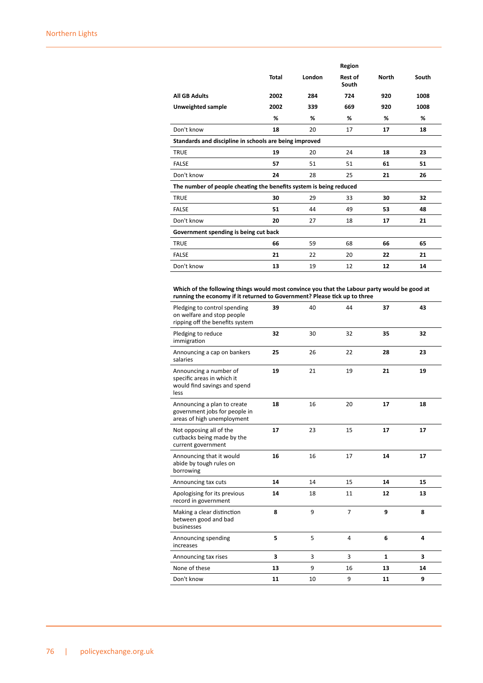|                                                                    | Region                                |        |                         |              |       |  |  |  |
|--------------------------------------------------------------------|---------------------------------------|--------|-------------------------|--------------|-------|--|--|--|
|                                                                    | <b>Total</b>                          | London | <b>Rest of</b><br>South | <b>North</b> | South |  |  |  |
| <b>All GB Adults</b>                                               | 2002                                  | 284    | 724                     | 920          | 1008  |  |  |  |
| Unweighted sample                                                  | 2002                                  | 339    | 669                     | 920          | 1008  |  |  |  |
|                                                                    | %                                     | ℅      | ℅                       | %            | %     |  |  |  |
| Don't know                                                         | 18                                    | 20     | 17                      | 17           | 18    |  |  |  |
| Standards and discipline in schools are being improved             |                                       |        |                         |              |       |  |  |  |
| <b>TRUE</b>                                                        | 19                                    | 20     | 24                      | 18           | 23    |  |  |  |
| <b>FALSE</b>                                                       | 57                                    | 51     | 51                      | 61           | 51    |  |  |  |
| Don't know                                                         | 24                                    | 28     | 25                      | 21           | 26    |  |  |  |
| The number of people cheating the benefits system is being reduced |                                       |        |                         |              |       |  |  |  |
| <b>TRUE</b>                                                        | 30                                    | 29     | 33                      | 30           | 32    |  |  |  |
| <b>FALSE</b>                                                       | 51                                    | 44     | 49                      | 53           | 48    |  |  |  |
| Don't know                                                         | 20                                    | 27     | 18                      | 17           | 21    |  |  |  |
|                                                                    | Government spending is being cut back |        |                         |              |       |  |  |  |
| <b>TRUE</b>                                                        | 66                                    | 59     | 68                      | 66           | 65    |  |  |  |
| <b>FALSE</b>                                                       | 21                                    | 22     | 20                      | 22           | 21    |  |  |  |
| Don't know                                                         | 13                                    | 19     | 12                      | 12           | 14    |  |  |  |

**Which of the following things would most convince you that the Labour party would be good at running the economy if it returned to Government? Please tick up to three**

| Pledging to control spending<br>on welfare and stop people<br>ripping off the benefits system | 39 | 40 | 44             | 37           | 43 |
|-----------------------------------------------------------------------------------------------|----|----|----------------|--------------|----|
| Pledging to reduce<br>immigration                                                             | 32 | 30 | 32             | 35           | 32 |
| Announcing a cap on bankers<br>salaries                                                       | 25 | 26 | 22             | 28           | 23 |
| Announcing a number of<br>specific areas in which it<br>would find savings and spend<br>less  | 19 | 21 | 19             | 21           | 19 |
| Announcing a plan to create<br>government jobs for people in<br>areas of high unemployment    | 18 | 16 | 20             | 17           | 18 |
| Not opposing all of the<br>cutbacks being made by the<br>current government                   | 17 | 23 | 15             | 17           | 17 |
| Announcing that it would<br>abide by tough rules on<br>borrowing                              | 16 | 16 | 17             | 14           | 17 |
| Announcing tax cuts                                                                           | 14 | 14 | 15             | 14           | 15 |
| Apologising for its previous<br>record in government                                          | 14 | 18 | 11             | 12           | 13 |
| Making a clear distinction<br>between good and bad<br>businesses                              | 8  | 9  | $\overline{7}$ | 9            | 8  |
| Announcing spending<br>increases                                                              | 5  | 5  | $\overline{4}$ | 6            | 4  |
| Announcing tax rises                                                                          | 3  | 3  | 3              | $\mathbf{1}$ | 3  |
| None of these                                                                                 | 13 | 9  | 16             | 13           | 14 |
| Don't know                                                                                    | 11 | 10 | 9              | 11           | 9  |